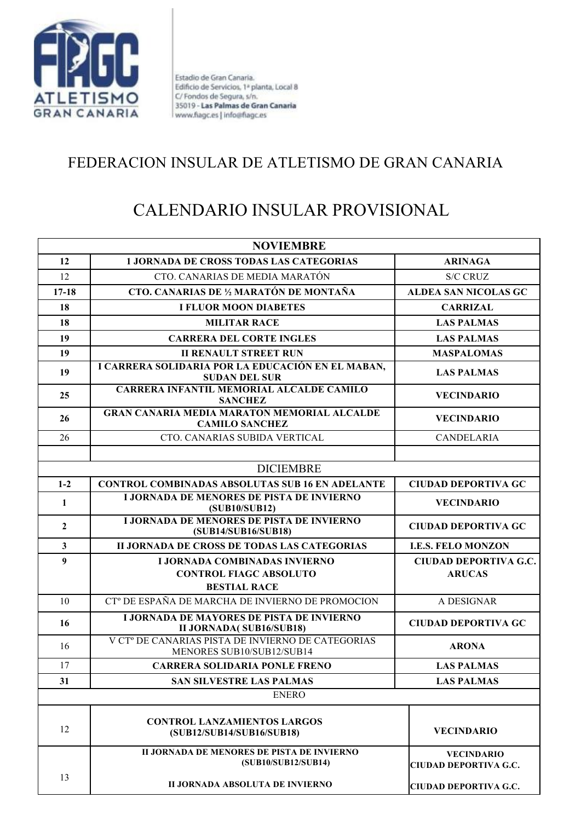

Estadio de Gran Canaria. Edificio de Servicios, 1ª planta, Local 8 C/Fondos de Segura, s/n. 35019 - Las Palmas de Gran Canaria www.fiagc.es | info@fiagc.es

## FEDERACION INSULAR DE ATLETISMO DE GRAN CANARIA

## CALENDARIO INSULAR PROVISIONAL

| <b>NOVIEMBRE</b> |                                                                                     |                                                   |
|------------------|-------------------------------------------------------------------------------------|---------------------------------------------------|
| 12               | <b>1 JORNADA DE CROSS TODAS LAS CATEGORIAS</b>                                      | <b>ARINAGA</b>                                    |
| 12               | CTO. CANARIAS DE MEDIA MARATÓN                                                      | <b>S/C CRUZ</b>                                   |
| $17 - 18$        | <b>CTO. CANARIAS DE 1/2 MARATÓN DE MONTAÑA</b>                                      | <b>ALDEA SAN NICOLAS GC</b>                       |
| 18               | <b>I FLUOR MOON DIABETES</b>                                                        | <b>CARRIZAL</b>                                   |
| 18               | <b>MILITAR RACE</b>                                                                 | <b>LAS PALMAS</b>                                 |
| 19               | <b>CARRERA DEL CORTE INGLES</b>                                                     | <b>LAS PALMAS</b>                                 |
| 19               | <b>II RENAULT STREET RUN</b>                                                        | <b>MASPALOMAS</b>                                 |
| 19               | I CARRERA SOLIDARIA POR LA EDUCACIÓN EN EL MABAN,<br><b>SUDAN DEL SUR</b>           | <b>LAS PALMAS</b>                                 |
| 25               | <b>CARRERA INFANTIL MEMORIAL ALCALDE CAMILO</b><br><b>SANCHEZ</b>                   | <b>VECINDARIO</b>                                 |
| 26               | <b>GRAN CANARIA MEDIA MARATON MEMORIAL ALCALDE</b><br><b>CAMILO SANCHEZ</b>         | <b>VECINDARIO</b>                                 |
| 26               | CTO. CANARIAS SUBIDA VERTICAL                                                       | <b>CANDELARIA</b>                                 |
|                  |                                                                                     |                                                   |
|                  | <b>DICIEMBRE</b>                                                                    |                                                   |
| $1 - 2$          | <b>CONTROL COMBINADAS ABSOLUTAS SUB 16 EN ADELANTE</b>                              | <b>CIUDAD DEPORTIVA GC</b>                        |
| $\mathbf{1}$     | <b>I JORNADA DE MENORES DE PISTA DE INVIERNO</b><br>(SUB10/SUB12)                   | <b>VECINDARIO</b>                                 |
| $\mathbf{2}$     | <b>I JORNADA DE MENORES DE PISTA DE INVIERNO</b><br>(SUB14/SUB16/SUB18)             | <b>CIUDAD DEPORTIVA GC</b>                        |
| $\mathbf{3}$     | II JORNADA DE CROSS DE TODAS LAS CATEGORIAS                                         | <b>I.E.S. FELO MONZON</b>                         |
| 9                | <b>I JORNADA COMBINADAS INVIERNO</b>                                                | <b>CIUDAD DEPORTIVA G.C.</b>                      |
|                  | <b>CONTROL FIAGC ABSOLUTO</b>                                                       | <b>ARUCAS</b>                                     |
|                  | <b>BESTIAL RACE</b>                                                                 |                                                   |
| 10               | CT <sup>°</sup> DE ESPAÑA DE MARCHA DE INVIERNO DE PROMOCION                        | A DESIGNAR                                        |
| 16               | <b>I JORNADA DE MAYORES DE PISTA DE INVIERNO</b><br><b>II JORNADA( SUB16/SUB18)</b> | <b>CIUDAD DEPORTIVA GC</b>                        |
| 16               | V CT° DE CANARIAS PISTA DE INVIERNO DE CATEGORIAS<br>MENORES SUB10/SUB12/SUB14      | <b>ARONA</b>                                      |
| 17               | <b>CARRERA SOLIDARIA PONLE FRENO</b>                                                | <b>LAS PALMAS</b>                                 |
| 31               | <b>SAN SILVESTRE LAS PALMAS</b>                                                     | <b>LAS PALMAS</b>                                 |
|                  | <b>ENERO</b>                                                                        |                                                   |
| 12               | <b>CONTROL LANZAMIENTOS LARGOS</b><br>(SUB12/SUB14/SUB16/SUB18)                     | <b>VECINDARIO</b>                                 |
|                  | II JORNADA DE MENORES DE PISTA DE INVIERNO<br>(SUB10/SUB12/SUB14)                   | <b>VECINDARIO</b><br><b>CIUDAD DEPORTIVA G.C.</b> |
| 13               | II JORNADA ABSOLUTA DE INVIERNO                                                     | <b>CIUDAD DEPORTIVA G.C.</b>                      |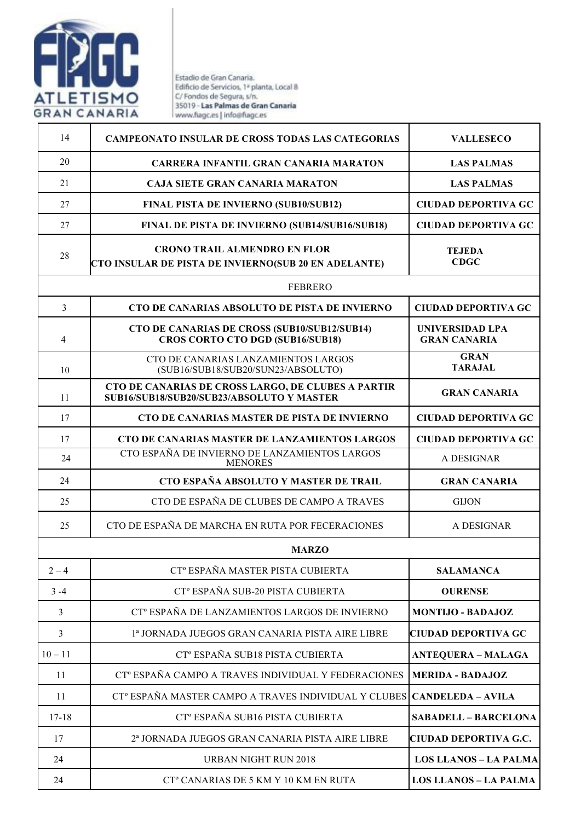

Estadio de Gran Canaria.<br>Edificio de Servicios, 1ª planta, Local 8<br>C/Fondos de Segura, s/n.<br>35019 - **Las Palmas de Gran Canaria** www.fiagc.es | info@fiagc.es

| 14             | <b>CAMPEONATO INSULAR DE CROSS TODAS LAS CATEGORIAS</b>                                         | <b>VALLESECO</b>                       |
|----------------|-------------------------------------------------------------------------------------------------|----------------------------------------|
| 20             |                                                                                                 |                                        |
|                | <b>CARRERA INFANTIL GRAN CANARIA MARATON</b>                                                    | <b>LAS PALMAS</b>                      |
| 21             | <b>CAJA SIETE GRAN CANARIA MARATON</b>                                                          | <b>LAS PALMAS</b>                      |
| 27             | <b>FINAL PISTA DE INVIERNO (SUB10/SUB12)</b>                                                    | <b>CIUDAD DEPORTIVA GC</b>             |
| 27             | <b>FINAL DE PISTA DE INVIERNO (SUB14/SUB16/SUB18)</b>                                           | <b>CIUDAD DEPORTIVA GC</b>             |
| 28             | <b>CRONO TRAIL ALMENDRO EN FLOR</b>                                                             | <b>TEJEDA</b>                          |
|                | CTO INSULAR DE PISTA DE INVIERNO(SUB 20 EN ADELANTE)                                            | <b>CDGC</b>                            |
|                | <b>FEBRERO</b>                                                                                  |                                        |
| 3              | CTO DE CANARIAS ABSOLUTO DE PISTA DE INVIERNO                                                   | <b>CIUDAD DEPORTIVA GC</b>             |
| 4              | CTO DE CANARIAS DE CROSS (SUB10/SUB12/SUB14)<br><b>CROS CORTO CTO DGD (SUB16/SUB18)</b>         | UNIVERSIDAD LPA<br><b>GRAN CANARIA</b> |
| 10             | CTO DE CANARIAS LANZAMIENTOS LARGOS<br>(SUB16/SUB18/SUB20/SUN23/ABSOLUTO)                       | <b>GRAN</b><br><b>TARAJAL</b>          |
| 11             | CTO DE CANARIAS DE CROSS LARGO, DE CLUBES A PARTIR<br>SUB16/SUB18/SUB20/SUB23/ABSOLUTO Y MASTER | <b>GRAN CANARIA</b>                    |
| 17             | <b>CTO DE CANARIAS MASTER DE PISTA DE INVIERNO</b>                                              | <b>CIUDAD DEPORTIVA GC</b>             |
| 17             | CTO DE CANARIAS MASTER DE LANZAMIENTOS LARGOS                                                   | <b>CIUDAD DEPORTIVA GC</b>             |
| 24             | CTO ESPAÑA DE INVIERNO DE LANZAMIENTOS LARGOS<br><b>MENORES</b>                                 | A DESIGNAR                             |
| 24             | CTO ESPAÑA ABSOLUTO Y MASTER DE TRAIL                                                           | <b>GRAN CANARIA</b>                    |
| 25             | CTO DE ESPAÑA DE CLUBES DE CAMPO A TRAVES                                                       | <b>GIJON</b>                           |
| 25             | CTO DE ESPAÑA DE MARCHA EN RUTA POR FECERACIONES                                                | A DESIGNAR                             |
|                | <b>MARZO</b>                                                                                    |                                        |
| $2 - 4$        | CT° ESPAÑA MASTER PISTA CUBIERTA                                                                | <b>SALAMANCA</b>                       |
| $3 - 4$        | CT <sup>°</sup> ESPAÑA SUB-20 PISTA CUBIERTA                                                    | <b>OURENSE</b>                         |
| $\mathfrak{Z}$ | CT <sup>°</sup> ESPAÑA DE LANZAMIENTOS LARGOS DE INVIERNO                                       | <b>MONTIJO - BADAJOZ</b>               |
| 3              | <sup>1ª</sup> JORNADA JUEGOS GRAN CANARIA PISTA AIRE LIBRE                                      | <b>CIUDAD DEPORTIVA GC</b>             |
| $10 - 11$      | CT <sup>°</sup> ESPAÑA SUB18 PISTA CUBIERTA                                                     | <b>ANTEQUERA - MALAGA</b>              |
| 11             | CT <sup>°</sup> ESPAÑA CAMPO A TRAVES INDIVIDUAL Y FEDERACIONES                                 | <b>MERIDA - BADAJOZ</b>                |
| 11             | CT <sup>°</sup> ESPAÑA MASTER CAMPO A TRAVES INDIVIDUAL Y CLUBES                                | <b>CANDELEDA - AVILA</b>               |
| $17 - 18$      | CT <sup>°</sup> ESPAÑA SUB16 PISTA CUBIERTA                                                     | <b>SABADELL - BARCELONA</b>            |
| 17             | 2ª JORNADA JUEGOS GRAN CANARIA PISTA AIRE LIBRE                                                 | <b>CIUDAD DEPORTIVA G.C.</b>           |
| 24             | <b>URBAN NIGHT RUN 2018</b>                                                                     | <b>LOS LLANOS - LA PALMA</b>           |
| 24             | CT <sup>°</sup> CANARIAS DE 5 KM Y 10 KM EN RUTA                                                | <b>LOS LLANOS - LA PALMA</b>           |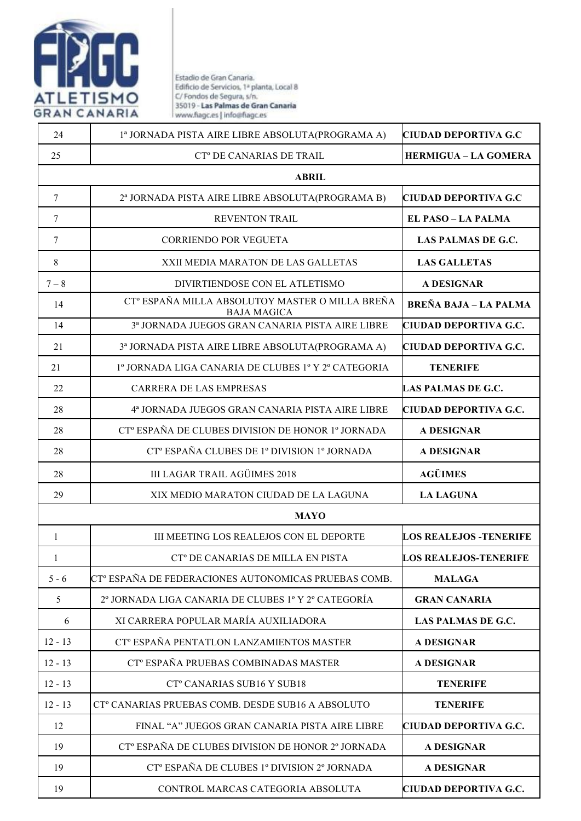

Estadio de Gran Canaria.<br>Edificio de Servicios, 1ª planta, Local 8<br>C/Fondos de Segura, s/n.<br>35019 - **Las Palmas de Gran Canaria** www.fiagc.es | info@fiagc.es

| 24           | 1ª JORNADA PISTA AIRE LIBRE ABSOLUTA(PROGRAMA A)                                  | <b>CIUDAD DEPORTIVA G.C</b>    |
|--------------|-----------------------------------------------------------------------------------|--------------------------------|
| 25           | CT <sup>°</sup> DE CANARIAS DE TRAIL                                              | <b>HERMIGUA - LA GOMERA</b>    |
| <b>ABRIL</b> |                                                                                   |                                |
| $\tau$       | 2ª JORNADA PISTA AIRE LIBRE ABSOLUTA(PROGRAMA B)                                  | <b>CIUDAD DEPORTIVA G.C</b>    |
| 7            | <b>REVENTON TRAIL</b>                                                             | <b>EL PASO – LA PALMA</b>      |
| $\tau$       | <b>CORRIENDO POR VEGUETA</b>                                                      | LAS PALMAS DE G.C.             |
| 8            | XXII MEDIA MARATON DE LAS GALLETAS                                                | <b>LAS GALLETAS</b>            |
| $7 - 8$      | DIVIRTIENDOSE CON EL ATLETISMO                                                    | <b>A DESIGNAR</b>              |
| 14           | CT <sup>°</sup> ESPAÑA MILLA ABSOLUTOY MASTER O MILLA BREÑA<br><b>BAJA MAGICA</b> | <b>BREÑA BAJA - LA PALMA</b>   |
| 14           | 3ª JORNADA JUEGOS GRAN CANARIA PISTA AIRE LIBRE                                   | <b>CIUDAD DEPORTIVA G.C.</b>   |
| 21           | 3ª JORNADA PISTA AIRE LIBRE ABSOLUTA(PROGRAMA A)                                  | <b>CIUDAD DEPORTIVA G.C.</b>   |
| 21           | 1º JORNADA LIGA CANARIA DE CLUBES 1º Y 2º CATEGORIA                               | <b>TENERIFE</b>                |
| 22           | <b>CARRERA DE LAS EMPRESAS</b>                                                    | <b>LAS PALMAS DE G.C.</b>      |
| 28           | 4ª JORNADA JUEGOS GRAN CANARIA PISTA AIRE LIBRE                                   | <b>CIUDAD DEPORTIVA G.C.</b>   |
| 28           | CT <sup>°</sup> ESPAÑA DE CLUBES DIVISION DE HONOR 1 <sup>°</sup> JORNADA         | <b>A DESIGNAR</b>              |
| 28           | CT <sup>°</sup> ESPAÑA CLUBES DE 1 <sup>°</sup> DIVISION 1 <sup>°</sup> JORNADA   | <b>A DESIGNAR</b>              |
| 28           | <b>III LAGAR TRAIL AGÜIMES 2018</b>                                               | <b>AGÜIMES</b>                 |
| 29           | XIX MEDIO MARATON CIUDAD DE LA LAGUNA                                             | <b>LA LAGUNA</b>               |
|              | <b>MAYO</b>                                                                       |                                |
| $\mathbf{1}$ | III MEETING LOS REALEJOS CON EL DEPORTE                                           | <b>LOS REALEJOS - TENERIFE</b> |
|              | CT <sup>°</sup> DE CANARIAS DE MILLA EN PISTA                                     | <b>LOS REALEJOS-TENERIFE</b>   |
| $5 - 6$      | CT <sup>°</sup> ESPAÑA DE FEDERACIONES AUTONOMICAS PRUEBAS COMB.                  | <b>MALAGA</b>                  |
| 5            | 2º JORNADA LIGA CANARIA DE CLUBES 1º Y 2º CATEGORÍA                               | <b>GRAN CANARIA</b>            |
| 6            | XI CARRERA POPULAR MARÍA AUXILIADORA                                              | <b>LAS PALMAS DE G.C.</b>      |
| $12 - 13$    | CT <sup>°</sup> ESPAÑA PENTATLON LANZAMIENTOS MASTER                              | <b>A DESIGNAR</b>              |
| $12 - 13$    | CT <sup>°</sup> ESPAÑA PRUEBAS COMBINADAS MASTER                                  | <b>A DESIGNAR</b>              |
| $12 - 13$    | CT <sup>°</sup> CANARIAS SUB16 Y SUB18                                            | <b>TENERIFE</b>                |
| $12 - 13$    | CT° CANARIAS PRUEBAS COMB. DESDE SUB16 A ABSOLUTO                                 | <b>TENERIFE</b>                |
| 12           | FINAL "A" JUEGOS GRAN CANARIA PISTA AIRE LIBRE                                    | CIUDAD DEPORTIVA G.C.          |
| 19           | CT <sup>°</sup> ESPAÑA DE CLUBES DIVISION DE HONOR 2 <sup>°</sup> JORNADA         | <b>A DESIGNAR</b>              |
| 19           | CT <sup>°</sup> ESPAÑA DE CLUBES 1 <sup>°</sup> DIVISION 2 <sup>°</sup> JORNADA   | <b>A DESIGNAR</b>              |
| 19           | CONTROL MARCAS CATEGORIA ABSOLUTA                                                 | <b>CIUDAD DEPORTIVA G.C.</b>   |